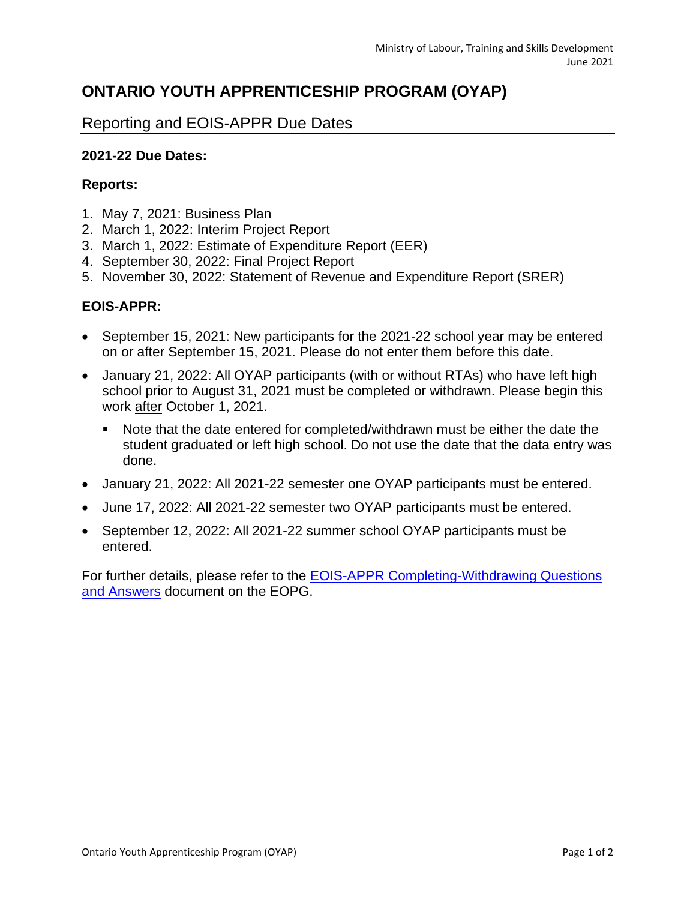# **ONTARIO YOUTH APPRENTICESHIP PROGRAM (OYAP)**

# Reporting and EOIS-APPR Due Dates

#### **2021-22 Due Dates:**

#### **Reports:**

- 1. May 7, 2021: Business Plan
- 2. March 1, 2022: Interim Project Report
- 3. March 1, 2022: Estimate of Expenditure Report (EER)
- 4. September 30, 2022: Final Project Report
- 5. November 30, 2022: Statement of Revenue and Expenditure Report (SRER)

## **EOIS-APPR:**

- September 15, 2021: New participants for the 2021-22 school year may be entered on or after September 15, 2021. Please do not enter them before this date.
- January 21, 2022: All OYAP participants (with or without RTAs) who have left high school prior to August 31, 2021 must be completed or withdrawn. Please begin this work after October 1, 2021.
	- Note that the date entered for completed/withdrawn must be either the date the student graduated or left high school. Do not use the date that the data entry was done.
- January 21, 2022: All 2021-22 semester one OYAP participants must be entered.
- June 17, 2022: All 2021-22 semester two OYAP participants must be entered.
- September 12, 2022: All 2021-22 summer school OYAP participants must be entered.

For further details, please refer to the [EOIS-APPR Completing-Withdrawing Questions](http://www.tcu.gov.on.ca/eng/eopg/programs/oyap.html)  [and Answers](http://www.tcu.gov.on.ca/eng/eopg/programs/oyap.html) document on the EOPG.